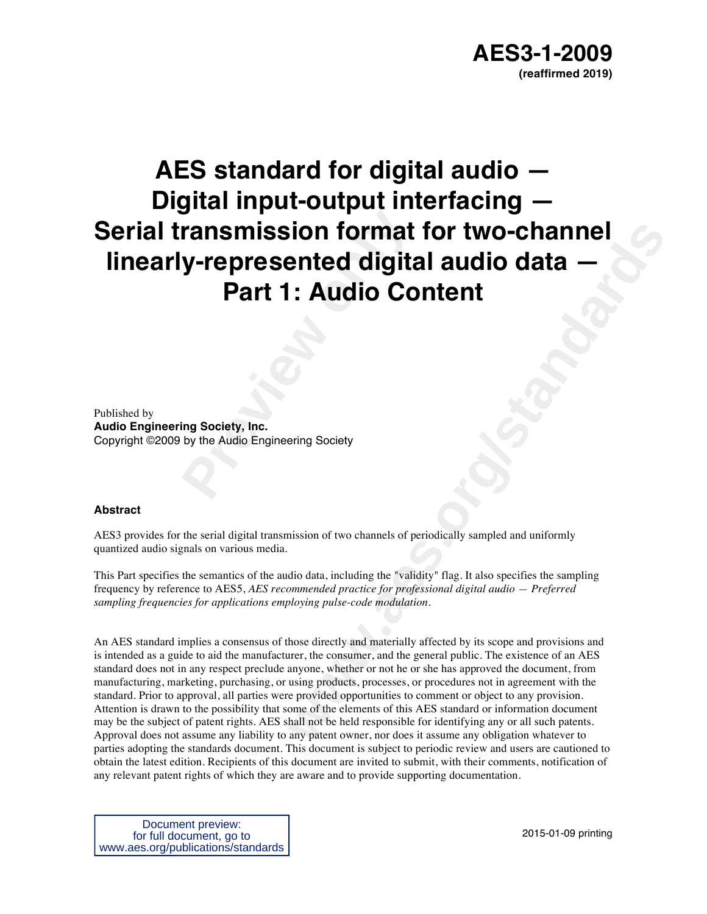# **Previous Format<br>
<b>Part 1: Audio Co**<br> **Part 1: Audio Co**<br> **Part 1: Audio Co**<br> **Part 1: Audio Co**<br> **Part 1: Audio Co**<br> **Part 1: Audio Co**<br> **Part Audio Engineering Society AES standard for digital audio — Digital input-output interfacing — Serial transmission format for two-channel linearly-represented digital audio data — Part 1: Audio Content**

Published by **Audio Engineering Society, Inc.** Copyright ©2009 by the Audio Engineering Society

#### **Abstract**

AES3 provides for the serial digital transmission of two channels of periodically sampled and uniformly quantized audio signals on various media.

This Part specifies the semantics of the audio data, including the "validity" flag. It also specifies the sampling frequency by reference to AES5, *AES recommended practice for professional digital audio — Preferred sampling frequencies for applications employing pulse-code modulation*.

**ented digital audio data**<br> **ented digital audio data**<br> **enterminal and Content<br>
<b>weak and Content**<br> **weak and Content**<br> **e weak and Content**<br> **e weak and Content**<br> **e weak and Content**<br> **e weak and Content**<br> **e** An AES standard implies a consensus of those directly and materially affected by its scope and provisions and is intended as a guide to aid the manufacturer, the consumer, and the general public. The existence of an AES standard does not in any respect preclude anyone, whether or not he or she has approved the document, from manufacturing, marketing, purchasing, or using products, processes, or procedures not in agreement with the standard. Prior to approval, all parties were provided opportunities to comment or object to any provision. Attention is drawn to the possibility that some of the elements of this AES standard or information document may be the subject of patent rights. AES shall not be held responsible for identifying any or all such patents. Approval does not assume any liability to any patent owner, nor does it assume any obligation whatever to parties adopting the standards document. This document is subject to periodic review and users are cautioned to obtain the latest edition. Recipients of this document are invited to submit, with their comments, notification of any relevant patent rights of which they are aware and to provide supporting documentation.

Document preview: for full document, go to www.aes.org/publications/standards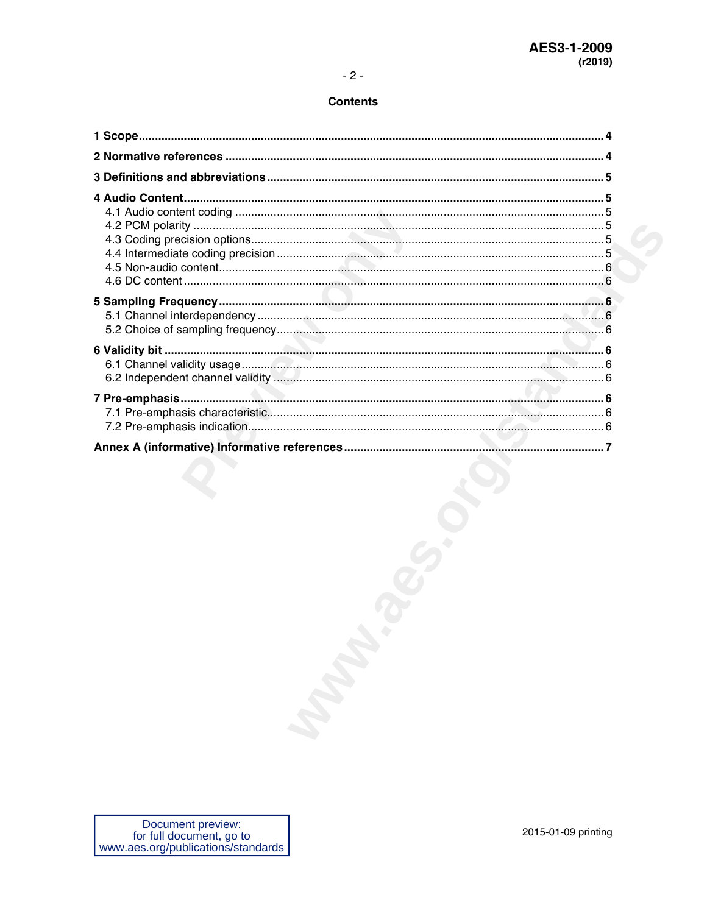| Document preview:<br>for full document, go to | 2015-01-09 printing |
|-----------------------------------------------|---------------------|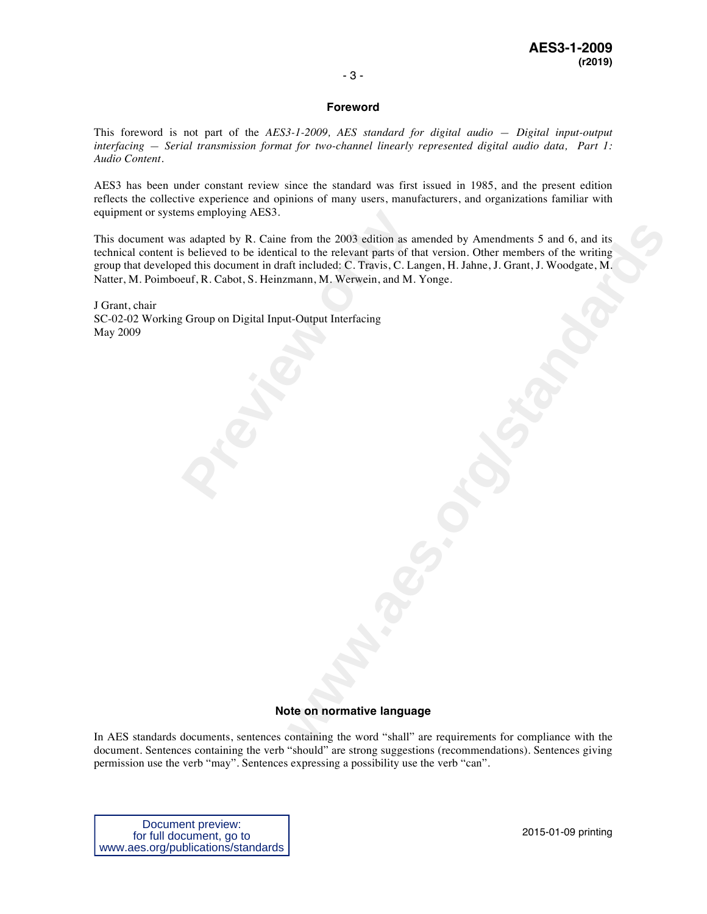#### **Foreword**

This foreword is not part of the *AES3-1-2009, AES standard for digital audio — Digital input-output interfacing — Serial transmission format for two-channel linearly represented digital audio data, Part 1: Audio Content*.

AES3 has been under constant review since the standard was first issued in 1985, and the present edition reflects the collective experience and opinions of many users, manufacturers, and organizations familiar with equipment or systems employing AES3.

ms employing AES3.<br>
s adapted by R. Caine from the 2003 edition as as<br>
believed to be identical to the relevant parts of the<br>
euf, R. Cabot, S. Heinzmann, M. Werwein, and M.<br>
c Group on Digital Input-Output Interfacing<br>
co from the 2003 edition as amended by Amendments 5 and 6, and its<br>als to the relevant parts of that version. Other members of the writing<br>in included: C. Travis, C. Langen, H. Jahne, J. Grant, J. Woodgate, M.<br>mann, M. Werwei This document was adapted by R. Caine from the 2003 edition as amended by Amendments 5 and 6, and its technical content is believed to be identical to the relevant parts of that version. Other members of the writing group that developed this document in draft included: C. Travis, C. Langen, H. Jahne, J. Grant, J. Woodgate, M. Natter, M. Poimboeuf, R. Cabot, S. Heinzmann, M. Werwein, and M. Yonge.

J Grant, chair SC-02-02 Working Group on Digital Input-Output Interfacing May 2009

#### **Note on normative language**

In AES standards documents, sentences containing the word "shall" are requirements for compliance with the document. Sentences containing the verb "should" are strong suggestions (recommendations). Sentences giving permission use the verb "may". Sentences expressing a possibility use the verb "can".

Document preview: for full document, go to www.aes.org/publications/standards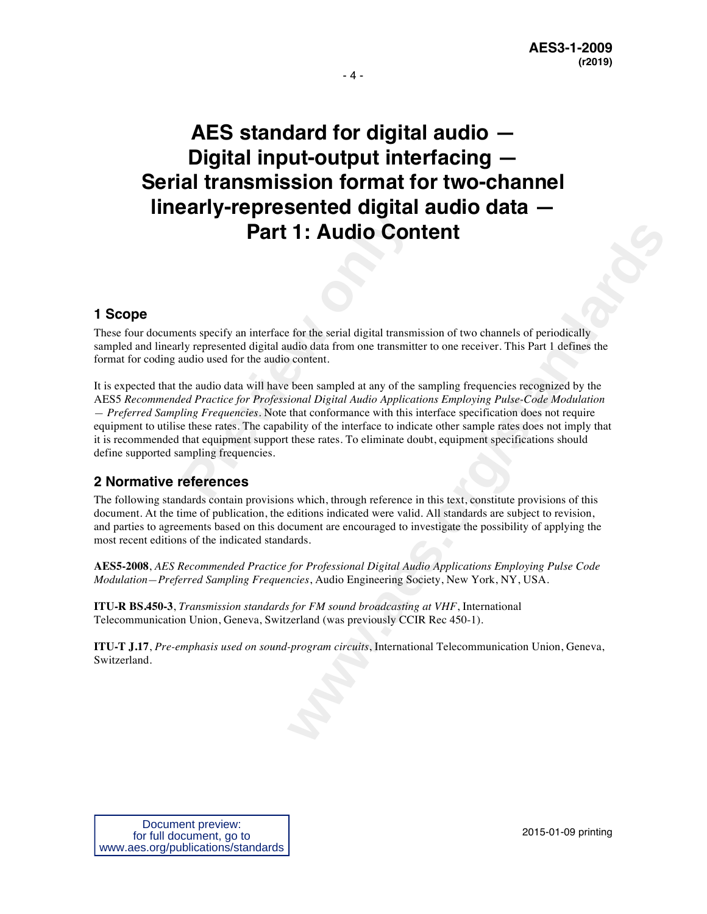**AES standard for digital audio — Digital input-output interfacing — Serial transmission format for two-channel linearly-represented digital audio data — Part 1: Audio Content** 

#### **1 Scope**

These four documents specify an interface for the serial digital transmission of two channels of periodically sampled and linearly represented digital audio data from one transmitter to one receiver. This Part 1 defines the format for coding audio used for the audio content.

**Part 1: Audio Configuration**<br>**Part 1:** Audio Configurations were all the and to the serial digital transmity represented digital audio data from one transmitt audio used for the audio content.<br>The audio data will have bee **1: Audio Content**<br> **t** for the scrial digital transmission of two channels of periodically<br>
adio data from one transmitter to one receiver. This Part 1 defines the<br>
notent.<br>
been sampled at any of the sampling frequencies It is expected that the audio data will have been sampled at any of the sampling frequencies recognized by the AES5 *Recommended Practice for Professional Digital Audio Applications Employing Pulse-Code Modulation — Preferred Sampling Frequencies.* Note that conformance with this interface specification does not require equipment to utilise these rates. The capability of the interface to indicate other sample rates does not imply that it is recommended that equipment support these rates. To eliminate doubt, equipment specifications should define supported sampling frequencies.

#### **2 Normative references**

The following standards contain provisions which, through reference in this text, constitute provisions of this document. At the time of publication, the editions indicated were valid. All standards are subject to revision, and parties to agreements based on this document are encouraged to investigate the possibility of applying the most recent editions of the indicated standards.

**AES5-2008**, *AES Recommended Practice for Professional Digital Audio Applications Employing Pulse Code Modulation—Preferred Sampling Frequencies*, Audio Engineering Society, New York, NY, USA.

**ITU-R BS.450-3**, *Transmission standards for FM sound broadcasting at VHF*, International Telecommunication Union, Geneva, Switzerland (was previously CCIR Rec 450-1).

**ITU-T J.17**, *Pre-emphasis used on sound-program circuits*, International Telecommunication Union, Geneva, Switzerland.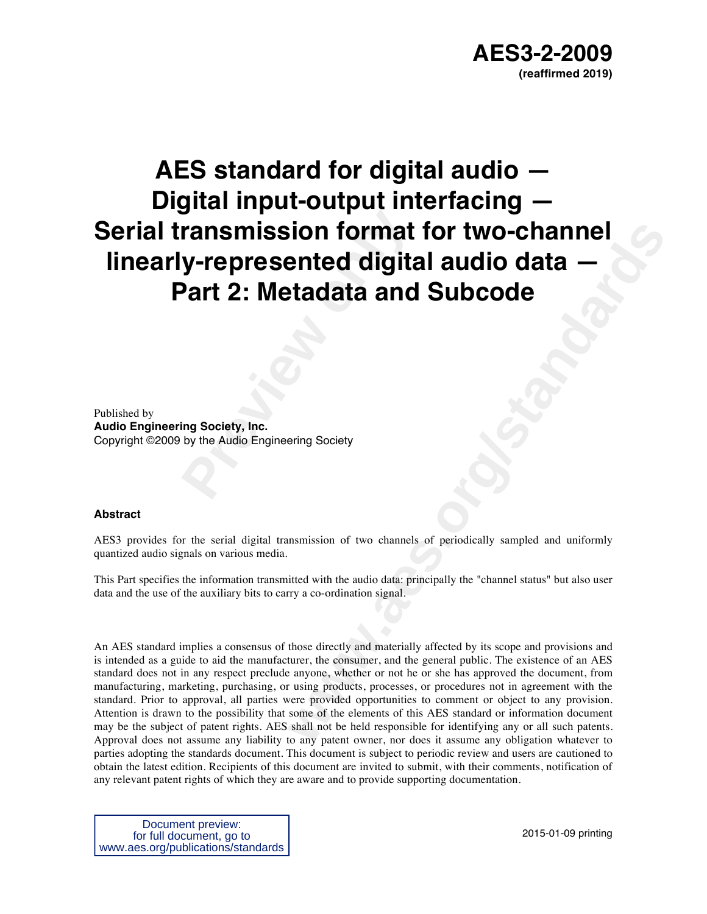# **Pransmission format<br>
<b>Part 2: Metadata and**<br>
Part 2: Metadata and<br>
prig Society, Inc.<br>
by the Audio Engineering Society **AES standard for digital audio — Digital input-output interfacing — Serial transmission format for two-channel linearly-represented digital audio data — Part 2: Metadata and Subcode**

Published by

**Audio Engineering Society, Inc.** Copyright ©2009 by the Audio Engineering Society

#### **Abstract**

AES3 provides for the serial digital transmission of two channels of periodically sampled and uniformly quantized audio signals on various media.

This Part specifies the information transmitted with the audio data: principally the "channel status" but also user data and the use of the auxiliary bits to carry a co-ordination signal.

**ented digital audio data**<br> **ented digital audio data**<br> **etadata and Subcode**<br> **with the audio data principally the "channel status" but also user**<br> **ering Society**<br> **with the audio data principally the "channel status" bu** An AES standard implies a consensus of those directly and materially affected by its scope and provisions and is intended as a guide to aid the manufacturer, the consumer, and the general public. The existence of an AES standard does not in any respect preclude anyone, whether or not he or she has approved the document, from manufacturing, marketing, purchasing, or using products, processes, or procedures not in agreement with the standard. Prior to approval, all parties were provided opportunities to comment or object to any provision. Attention is drawn to the possibility that some of the elements of this AES standard or information document may be the subject of patent rights. AES shall not be held responsible for identifying any or all such patents. Approval does not assume any liability to any patent owner, nor does it assume any obligation whatever to parties adopting the standards document. This document is subject to periodic review and users are cautioned to obtain the latest edition. Recipients of this document are invited to submit, with their comments, notification of any relevant patent rights of which they are aware and to provide supporting documentation.

Document preview: for full document, go to www.aes.org/publications/standards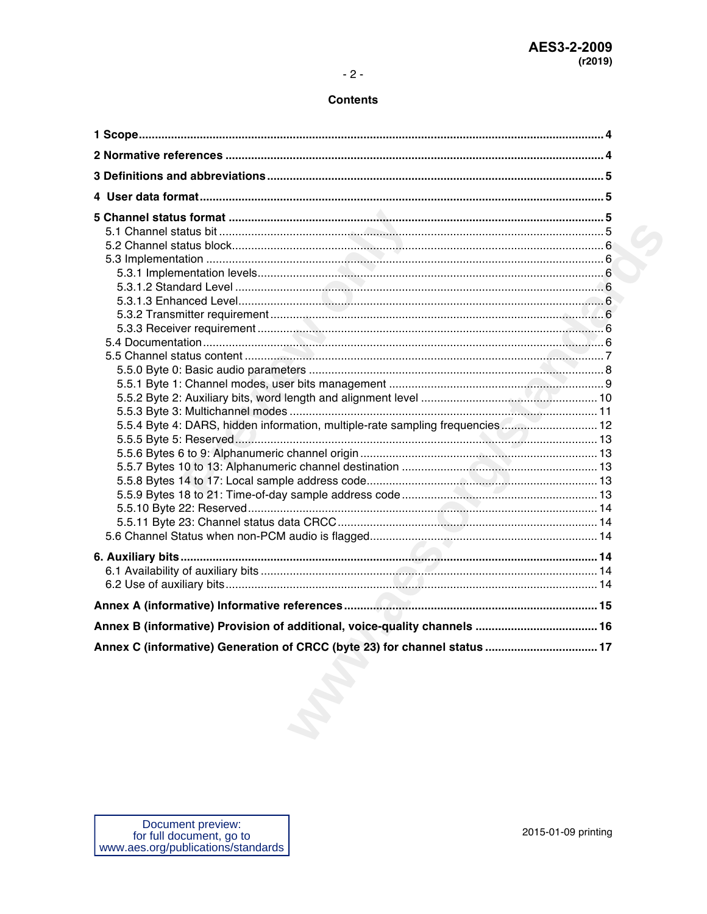| 5.5.4 Byte 4: DARS, hidden information, multiple-rate sampling frequencies 12 |  |
|-------------------------------------------------------------------------------|--|
|                                                                               |  |
|                                                                               |  |
|                                                                               |  |
|                                                                               |  |
|                                                                               |  |
|                                                                               |  |
|                                                                               |  |
|                                                                               |  |
|                                                                               |  |
|                                                                               |  |
|                                                                               |  |
|                                                                               |  |
| Annex B (informative) Provision of additional, voice-quality channels  16     |  |
| Annex C (informative) Generation of CRCC (byte 23) for channel status         |  |
|                                                                               |  |
|                                                                               |  |
|                                                                               |  |
|                                                                               |  |
|                                                                               |  |
|                                                                               |  |
|                                                                               |  |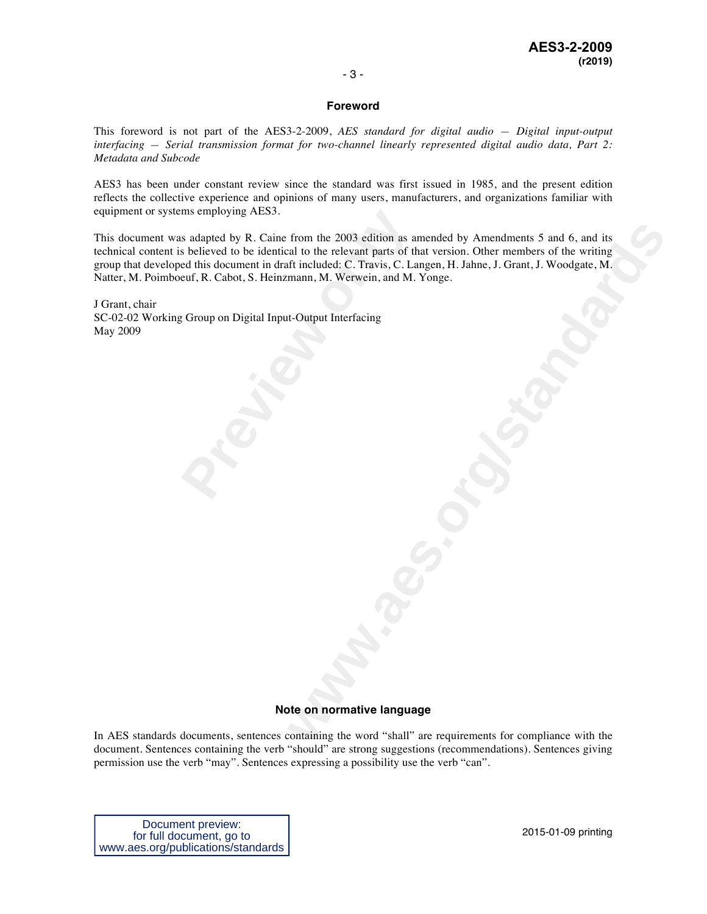#### **Foreword**

This foreword is not part of the AES3-2-2009, *AES standard for digital audio — Digital input-output interfacing — Serial transmission format for two-channel linearly represented digital audio data, Part 2: Metadata and Subcode*

AES3 has been under constant review since the standard was first issued in 1985, and the present edition reflects the collective experience and opinions of many users, manufacturers, and organizations familiar with equipment or systems employing AES3.

ms employing AES3.<br>
s adapted by R. Caine from the 2003 edition as as<br>
s believed to be identical to the relevant parts of the<br>
euf, R. Cabot, S. Heinzmann, M. Werwein, and M.<br>
7. Group on Digital Input-Output Interfacing<br> from the 2003 edition as amended by Amendments 5 and 6, and its<br>also the relevant parts of that version. Other members of the writing<br>if included: C. Travis, C. Langen, H. Jahne, J. Grant, J. Woodgate, M.<br>mann, M. Werwein, This document was adapted by R. Caine from the 2003 edition as amended by Amendments 5 and 6, and its technical content is believed to be identical to the relevant parts of that version. Other members of the writing group that developed this document in draft included: C. Travis, C. Langen, H. Jahne, J. Grant, J. Woodgate, M. Natter, M. Poimboeuf, R. Cabot, S. Heinzmann, M. Werwein, and M. Yonge.

J Grant, chair SC-02-02 Working Group on Digital Input-Output Interfacing May 2009

#### **Note on normative language**

In AES standards documents, sentences containing the word "shall" are requirements for compliance with the document. Sentences containing the verb "should" are strong suggestions (recommendations). Sentences giving permission use the verb "may". Sentences expressing a possibility use the verb "can".

Document preview: for full document, go to www.aes.org/publications/standards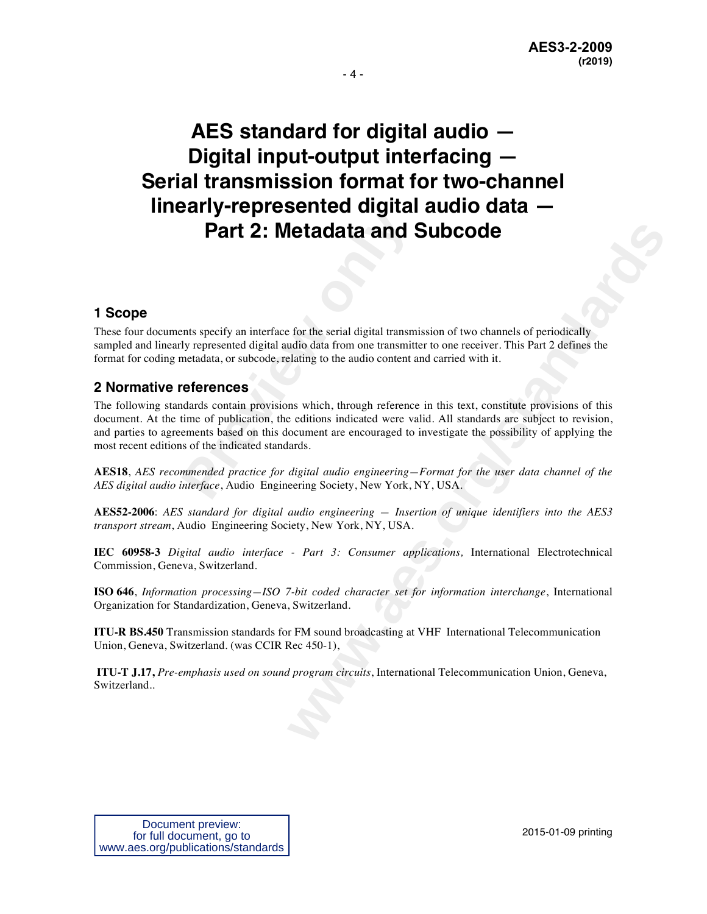**AES standard for digital audio — Digital input-output interfacing — Serial transmission format for two-channel linearly-represented digital audio data — Part 2: Metadata and Subcode**

#### **1 Scope**

These four documents specify an interface for the serial digital transmission of two channels of periodically sampled and linearly represented digital audio data from one transmitter to one receiver. This Part 2 defines the format for coding metadata, or subcode, relating to the audio content and carried with it.

#### **2 Normative references**

**Part 2: Metadata and 9:**<br>The specify an interface for the serial digital transmulty represented digital andio data from one transmitted ata, or subcode, relating to the audio content are **references**<br>dards contain provisi **Example 12 and Subcode**<br> **We set the serial digital transmission of two channels of periodically**<br>
did data from one transmitter to one receiver. This Part 2 defines the<br>
lading to the audio content and carried with it.<br> The following standards contain provisions which, through reference in this text, constitute provisions of this document. At the time of publication, the editions indicated were valid. All standards are subject to revision, and parties to agreements based on this document are encouraged to investigate the possibility of applying the most recent editions of the indicated standards.

**AES18**, *AES recommended practice for digital audio engineering—Format for the user data channel of the AES digital audio interface*, Audio Engineering Society, New York, NY, USA.

**AES52-2006**: *AES standard for digital audio engineering — Insertion of unique identifiers into the AES3 transport stream*, Audio Engineering Society, New York, NY, USA.

**IEC 60958-3** *Digital audio interface - Part 3: Consumer applications,* International Electrotechnical Commission, Geneva, Switzerland.

**ISO 646**, *Information processing—ISO 7-bit coded character set for information interchange*, International Organization for Standardization, Geneva, Switzerland.

**ITU-R BS.450** Transmission standards for FM sound broadcasting at VHF International Telecommunication Union, Geneva, Switzerland. (was CCIR Rec 450-1),

**ITU-T J.17,** *Pre-emphasis used on sound program circuits*, International Telecommunication Union, Geneva, Switzerland..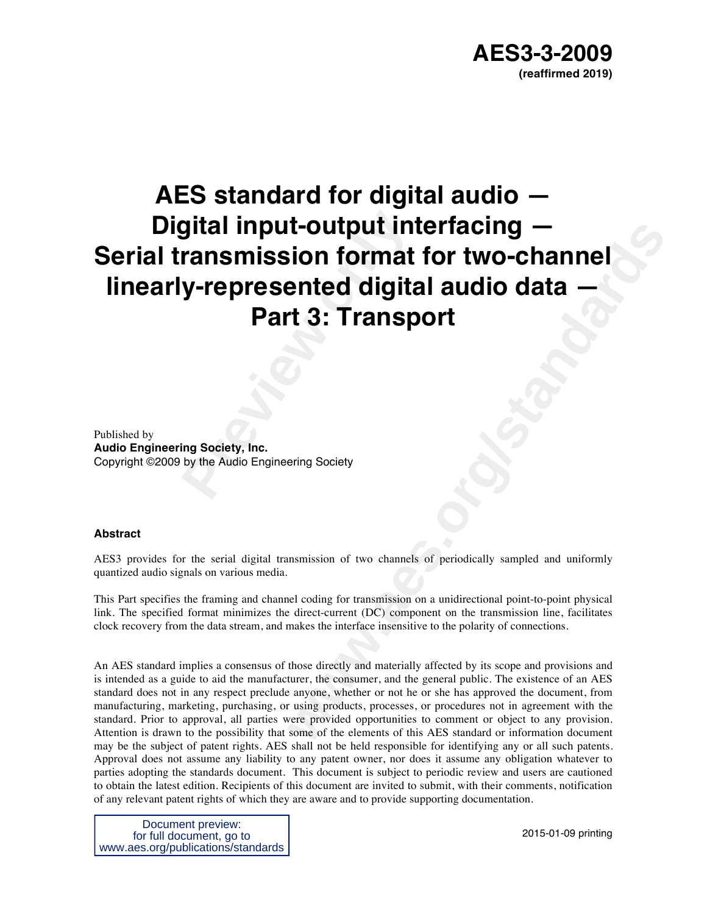# **Preview Solution: Propriet Solution: Part 3: Transp<br>
<b>Part 3: Transp**<br>
Part 3: Transp<br>
Part 3: Stransp<br>
Part Signal Society, Inc.<br>
Part Society, Inc.<br>
Part Society, Inc.<br>
Part Society<br>
Part Society<br>
Part Society<br>
Part Soc **Example 11 INTERTACING**<br> **with the Control of Standards Control of the Control of Standards Control of the Control of Standards Control of Standards Control of the Control of the Control of the Control of the Control of t AES standard for digital audio — Digital input-output interfacing — Serial transmission format for two-channel linearly-represented digital audio data — Part 3: Transport**

Published by **Audio Engineering Society, Inc.** Copyright ©2009 by the Audio Engineering Society

#### **Abstract**

AES3 provides for the serial digital transmission of two channels of periodically sampled and uniformly quantized audio signals on various media.

This Part specifies the framing and channel coding for transmission on a unidirectional point-to-point physical link. The specified format minimizes the direct-current (DC) component on the transmission line, facilitates clock recovery from the data stream, and makes the interface insensitive to the polarity of connections.

An AES standard implies a consensus of those directly and materially affected by its scope and provisions and is intended as a guide to aid the manufacturer, the consumer, and the general public. The existence of an AES standard does not in any respect preclude anyone, whether or not he or she has approved the document, from manufacturing, marketing, purchasing, or using products, processes, or procedures not in agreement with the standard. Prior to approval, all parties were provided opportunities to comment or object to any provision. Attention is drawn to the possibility that some of the elements of this AES standard or information document may be the subject of patent rights. AES shall not be held responsible for identifying any or all such patents. Approval does not assume any liability to any patent owner, nor does it assume any obligation whatever to parties adopting the standards document. This document is subject to periodic review and users are cautioned to obtain the latest edition. Recipients of this document are invited to submit, with their comments, notification of any relevant patent rights of which they are aware and to provide supporting documentation.

Document preview: for full document, go to www.aes.org/publications/standards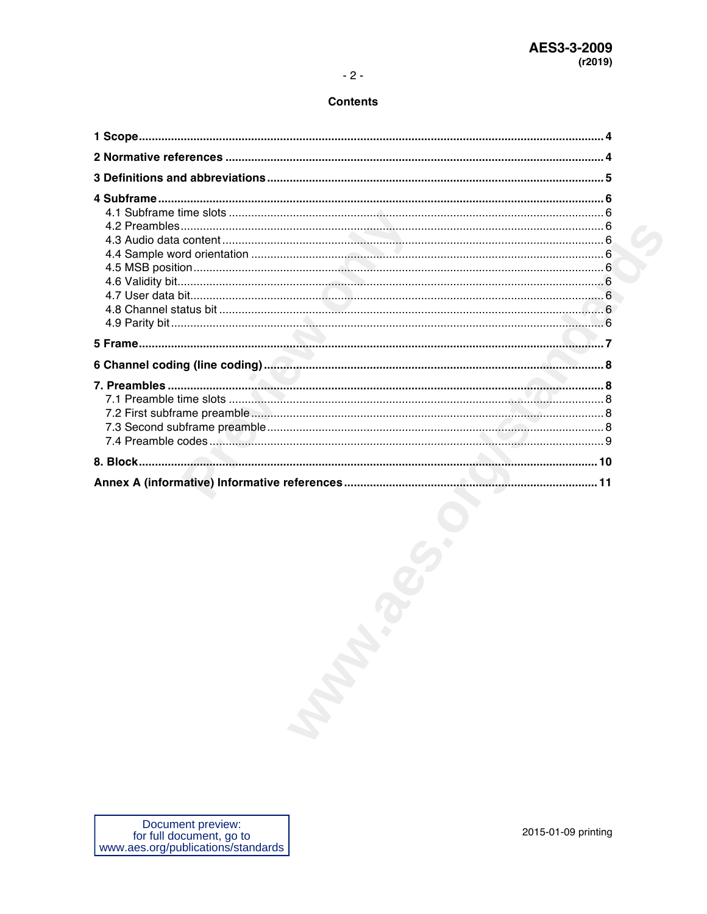| Document preview: |  |
|-------------------|--|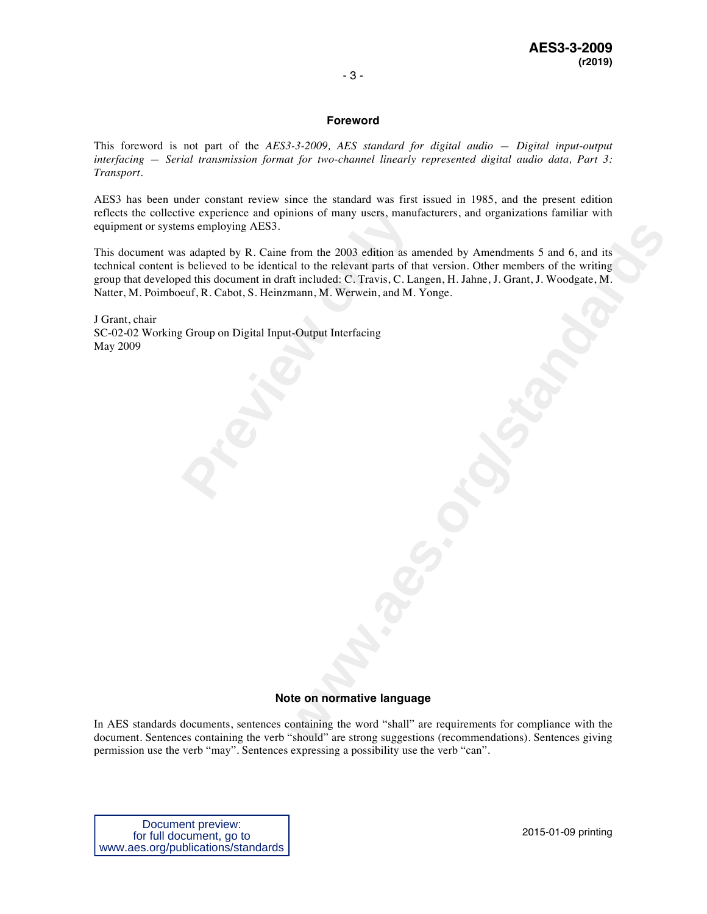#### **Foreword**

This foreword is not part of the *AES3-3-2009, AES standard for digital audio — Digital input-output interfacing — Serial transmission format for two-channel linearly represented digital audio data, Part 3: Transport*.

AES3 has been under constant review since the standard was first issued in 1985, and the present edition reflects the collective experience and opinions of many users, manufacturers, and organizations familiar with equipment or systems employing AES3.

ive experience and opinions of many users, manu<br>ms employing AES3.<br>s adapted by R. Caine from the 2003 edition as as<br>believed to be identical to the relevant parts of the<br>ed this document in draft included: C. Travis, C. L From the 2003 edition as amended by Amendments 5 and 6, and its<br>al to the relevant parts of that version. Other members of the writing<br>ft included: C. Travis, C. Langen, H. Jahne, J. Grant, J. Woodgate, M.<br>mann, M. Werwein This document was adapted by R. Caine from the 2003 edition as amended by Amendments 5 and 6, and its technical content is believed to be identical to the relevant parts of that version. Other members of the writing group that developed this document in draft included: C. Travis, C. Langen, H. Jahne, J. Grant, J. Woodgate, M. Natter, M. Poimboeuf, R. Cabot, S. Heinzmann, M. Werwein, and M. Yonge.

J Grant, chair SC-02-02 Working Group on Digital Input-Output Interfacing May 2009

#### **Note on normative language**

In AES standards documents, sentences containing the word "shall" are requirements for compliance with the document. Sentences containing the verb "should" are strong suggestions (recommendations). Sentences giving permission use the verb "may". Sentences expressing a possibility use the verb "can".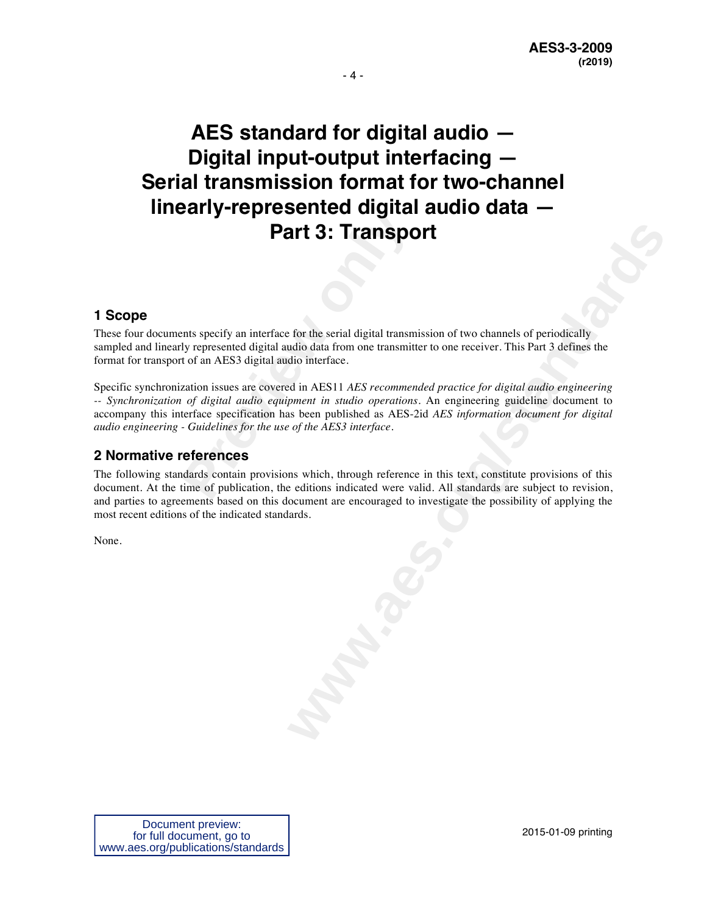## **AES standard for digital audio — Digital input-output interfacing — Serial transmission format for two-channel linearly-represented digital audio data — Part 3: Transport**

#### **1 Scope**

These four documents specify an interface for the serial digital transmission of two channels of periodically sampled and linearly represented digital audio data from one transmitter to one receiver. This Part 3 defines the format for transport of an AES3 digital audio interface.

**Part 3: Transpct According to the Section Part 3: Transpct Part 3: Transpct Part 3: Transpct According the specify an interface for the serial digital transmitt of an AES3 digital audio interface.<br>
Exation issues are cove** Specific synchronization issues are covered in AES11 *AES recommended practice for digital audio engineering -- Synchronization of digital audio equipment in studio operations*. An engineering guideline document to accompany this interface specification has been published as AES-2id *AES information document for digital audio engineering - Guidelines for the use of the AES3 interface*.

#### **2 Normative references**

**art 3: Transport**<br>
For the scrial digital transmission of two channels of periodically<br>
did o interface.<br>
at in AES11 *AES recommended practice for digital audio engineering*<br>
premi in studio operations. An engineering gu The following standards contain provisions which, through reference in this text, constitute provisions of this document. At the time of publication, the editions indicated were valid. All standards are subject to revision, and parties to agreements based on this document are encouraged to investigate the possibility of applying the most recent editions of the indicated standards.

None.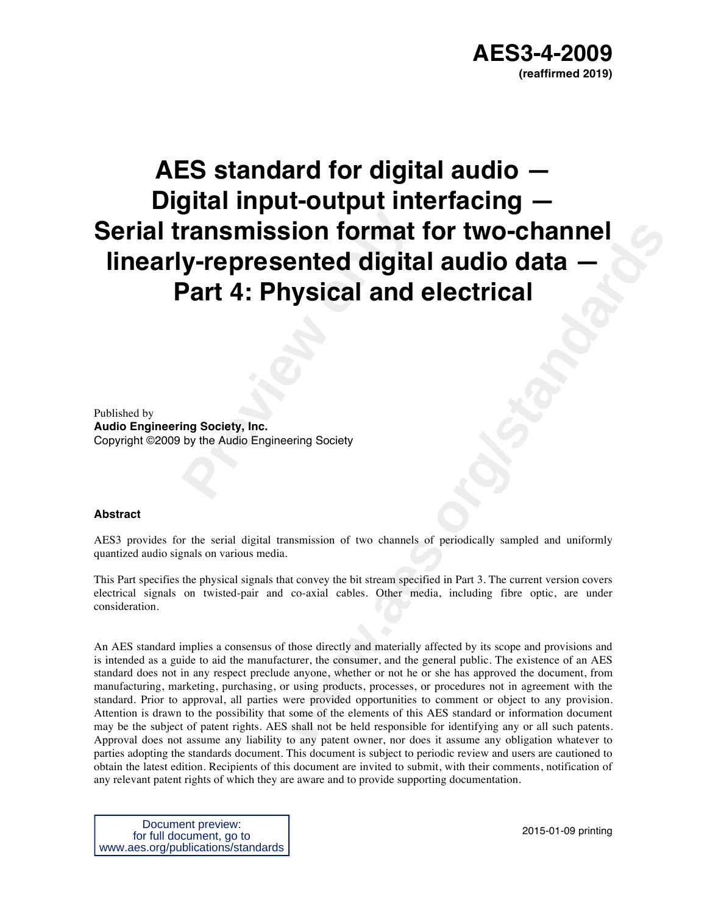# **Pransmission format<br>
<b>Part 4: Physical and**<br>
Part 4: Physical and<br>
Ing Society, Inc.<br>
by the Audio Engineering Society **AES standard for digital audio — Digital input-output interfacing — Serial transmission format for two-channel linearly-represented digital audio data — Part 4: Physical and electrical**

Published by

**Audio Engineering Society, Inc.** Copyright ©2009 by the Audio Engineering Society

#### **Abstract**

AES3 provides for the serial digital transmission of two channels of periodically sampled and uniformly quantized audio signals on various media.

This Part specifies the physical signals that convey the bit stream specified in Part 3. The current version covers electrical signals on twisted-pair and co-axial cables. Other media, including fibre optic, are under consideration.

**Example 11 Solution 11**<br> **which and electrical**<br> **which and electrical**<br> **w**<br> **w**<br> **w**<br> **w**<br> **w**<br> **w**<br> **e w**<br> **e w**<br> **e w**<br> **e w**<br> **e w**<br> **e w**<br> **e w**<br> **e w**<br> **e w**<br> **e w**<br> **e w**<br> **e w**<br> **e w**<br> An AES standard implies a consensus of those directly and materially affected by its scope and provisions and is intended as a guide to aid the manufacturer, the consumer, and the general public. The existence of an AES standard does not in any respect preclude anyone, whether or not he or she has approved the document, from manufacturing, marketing, purchasing, or using products, processes, or procedures not in agreement with the standard. Prior to approval, all parties were provided opportunities to comment or object to any provision. Attention is drawn to the possibility that some of the elements of this AES standard or information document may be the subject of patent rights. AES shall not be held responsible for identifying any or all such patents. Approval does not assume any liability to any patent owner, nor does it assume any obligation whatever to parties adopting the standards document. This document is subject to periodic review and users are cautioned to obtain the latest edition. Recipients of this document are invited to submit, with their comments, notification of any relevant patent rights of which they are aware and to provide supporting documentation.

Document preview: for full document, go to www.aes.org/publications/standards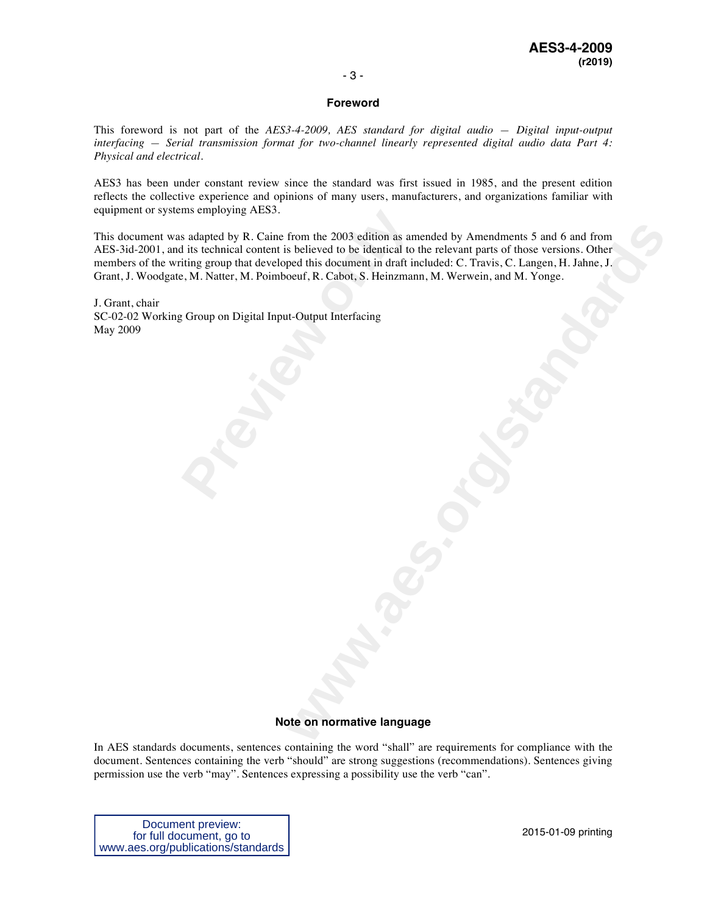#### **Foreword**

This foreword is not part of the *AES3-4-2009, AES standard for digital audio — Digital input-output interfacing — Serial transmission format for two-channel linearly represented digital audio data Part 4: Physical and electrical*.

AES3 has been under constant review since the standard was first issued in 1985, and the present edition reflects the collective experience and opinions of many users, manufacturers, and organizations familiar with equipment or systems employing AES3.

Insemploying AESS.<br>
S adapted by R. Caine from the 2003 edition as and its technical content is believed to be identical to<br>
biting group that developed this document in draft in<br>
P., M. Natter, M. Poimboeuf, R. Cabot, S. from the 2003 edition as amended by Amendments 5 and 6 and from<br>solution to be identical to the relevant parts of those versions. Other<br>ped this document in draft included: C. Travis, C. Laugen, H. Jahne, J.<br>coeff, R. Cabo This document was adapted by R. Caine from the 2003 edition as amended by Amendments 5 and 6 and from AES-3id-2001, and its technical content is believed to be identical to the relevant parts of those versions. Other members of the writing group that developed this document in draft included: C. Travis, C. Langen, H. Jahne, J. Grant, J. Woodgate, M. Natter, M. Poimboeuf, R. Cabot, S. Heinzmann, M. Werwein, and M. Yonge.

J. Grant, chair SC-02-02 Working Group on Digital Input-Output Interfacing May 2009

#### **Note on normative language**

In AES standards documents, sentences containing the word "shall" are requirements for compliance with the document. Sentences containing the verb "should" are strong suggestions (recommendations). Sentences giving permission use the verb "may". Sentences expressing a possibility use the verb "can".

Document preview: for full document, go to www.aes.org/publications/standards